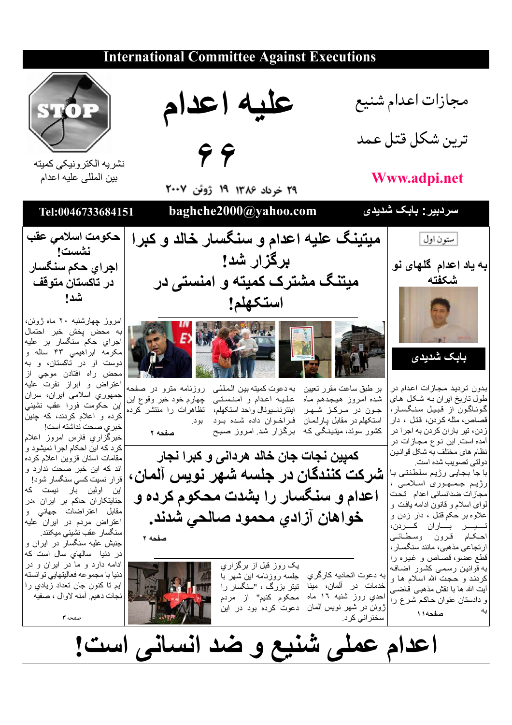### **International Committee Against Executions**



نشر يه الكتر ونيكي كميته بين المللي عليه اعدام



نشست ا اجراي حكم سنگسار در تاكستا*ن* متوقف شدا

امروز چهارشنبه ۲۰ ماه ژوئن، به محض يخش خبر احتمال اجرای حکم سنگسار بر علیه مکرمه ابراهیمی ۴۳ ساله و دوست او در تاکستان، و به محض راه افتادن موجى از اعتراض وابراز نفرت عليه جمهوری اسلامی ایران، سران این حکومت فورا عقب نشینی كرده و اعلام كردند، كه چنين

خبر ي صحت نداشته است! خبرگزاري فارس امروز اعلام کر د که این احکام اجر ا نمیشود و مقامات استان قزوين اعلام كرده اند كه اين خبر صحت ندارد و قرار نسيت كسي سنگسار شود! این اولین بار نیست که جنایتکاران حاکم بر ایران ،در مقابل اعتراضات جهاني و اعتراض مردم در ایران علیه سنگسار عقب نشینی میکنند.

.<br>جنبش علیه سنگسار در ایران و در دنیا سالهای سال است که ادامه دارد و ما در ایران و در دنيا با مجموعه فعاليتهايي توانسته ايم تا كنون جان تعداد زيادي را نجات دهيم. أمنه لاوال ، صفيه

صفحه ۳

عليه اعدام

 $99$ 

٢٩ خرداد ١٣٨۶ ١٩ ژوئن ٢٠٠٧

baghche2000@yahoo.com

میتینگ علیه اعدام و سنگسار خالد و کبرا برگزار شد! میتنگ مشترک کمیته و امنستی در استكهلم!



شده امروز هیجدهم ماه علیه اعدام و امنستی چهارم خود خبر وقوع این جون در مرکز شهر استکهلم در مقابل پارلمان فراخوان داده شده بود بود. کشور سوئد، میتینگی که برگزار شد امروز صبح

بر طبق ساعت مقرر تعیین ً به دعوت کمیته بین الـمـلـلـی ۖ روزنامـه مترو در ۖ صفحه اینتر ناسیونال واحد استکهلم، تظاهر ات را منتشر کرده

صفحه ٢

كمبِين نجات جان خالد هرداني و كبرا نجار شركت كنندگان در جلسه شهر نويس آلمان، اعدام و سنگسار را بشدت محکوم کرده و خواهان آزادي محمود صالحي شدند. صفحه ۲

> به دعوت اتحادیه کارگری جلسه روزنامه این شهر با خدمات در ألمان، مينا تيتر بزرگ ، "سنگسار را احدي روز شنبه ١٦ ماه محکوم کنيم" از مردم ژوئن در شهر نویس آلمان ً دعوت کر ده بود در این سخنر انے کر د۔





اعدام عملی شُنیع و ضد انسانی است!

مجازات اعدام شنيع ترين شكل قتل عمد

# Www.adpi.net



صفحه ١١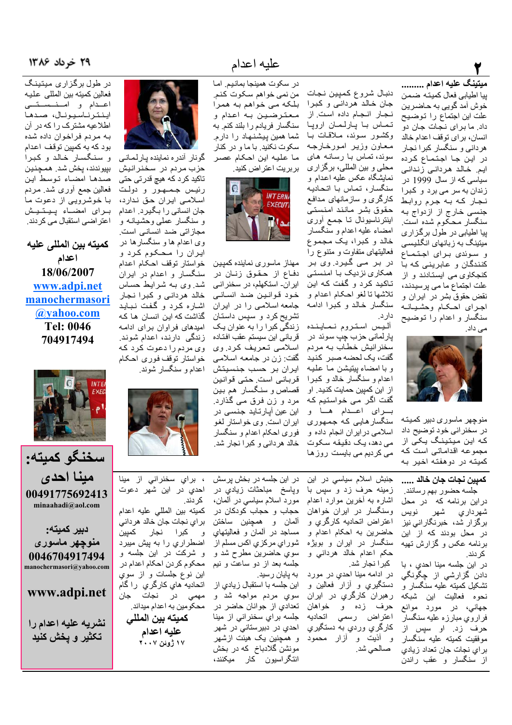## ٢

#### ميتينگ عليه اعدام .........

ييا اطيابي فعال كميته ضمن خوش آمد گويي به حاضرين علت این اجتماع را توضیح داد. ما برای نجات جان دو انسان، براي توقف اعدام خالد هر دانی و سنگسار کبر ا نجار در اين جا اجتماع كرده ایم. خالد هردانی زندانی سیاسی که از سال 1999 در زندان به سر می برد و کبرا نجار كه به جرم روابط جنسی خارج از ازدواج به سنگسار محکوم شده است. یپا اطیابی در طول برگزاری میتینگ به ز بانهای انگلیسه و سوئدى براى اجتماع كنندگان و عابريني كه با کنجکاوی می ایستادند و از علت اجتماع ما می پرسیدند، نقض حقوق بشر در ايران و اجراى احكام وحشيانيه سنگسار و اعدام را توضیح مے، داد۔



منوجهر ماسورى دبير كميته در سخنرانی خود توضیح داد که این میتینگ یکی از مجموعه اقداماتی است که كميته در دوهفته اخير به

دنبال شروع كمپين نجات جان خالد هرداني و كبرا نجار انجام داده است. از تماس با پارلمان اروپا وكشور سوئد، ملاقات بـا معاون وزير امورخارجه سوئد، تماس با رسانه های محلي و بين المللي، برگزاري نمایشگاه عکس علیه اعدام و سنگسار، تماس با اتحادیه کارگری و سازمانهای مدافع حقوق بشر مانند امنستى اینترناسیونال تـا جمـع أوری امضاء عليه اعدام و سنگسار خالد و کبرا، یک مجموع فعالیتهای متفاوت و متنوع را در بر م*ے* گیرد وی بر همکاری نزدیک با امنستی تاکید کرد و گفت که این تلاشها تا لغو احكام اعدام و سنگسار خالد و کبرا ادامه دار د.

أليس استروم نماينده پارلماني حزب چپ سوئد در سخنرانيش خطاب به مردم گفت، یک لحضه صبر کنید و با امضاء پيتيشن مـا علـيـه اعدام و سنگسار خالد و کبرا از این کمپین حمایت کنید. او گفت اگر می خواستیم که برای اعدام ها و سنگسار هایبی که جمهور ی اسلامی در ایران انجام داده و می دهد، یک دقیقه سکوت می کردیم می بایست روز ها

عليه اعدام

در سكوت همينجا بمانيم. اما من نمي خواهم سكوت كنم. بلکه می خواهم به همرا معترضین به اعدام و سنگسار فريادم را بلند كنم. به شما همین پیشنهاد را دارم. سکوت نکنید. با ما و در کنار ما عليه اين احكام عصر بربريت اعتراض كنيد.



مهناز ماسوري نماينده كمپين دفاع از حقوق زنان در ایران۔ استکهلم، در سخنرانی خود قوانين ضد انساني جامعه اسلامی را در ایران نشریح کرد و سپس داستان ز ندگی کبر ۱ ر ۱ به عنوان یک قرباني اين سيستم عقب افتـاده اسلامي تعريف كرد وي گفت: زن در جامعه اسلامی ایرا*ن بر* حسب جنسیتش قرباني است حتى قوانين قصاص و سنگسار هم بين مرد و زن فرق مـي گذارد<sub>.</sub> این عین آپارتاید جنس*ی* در ایر ان است<sub>. وی</sub> خو استار لغو فوري احكام اعدام و سنگسار خالد هرداني و كبرا نجار شد.



گونار أندره نماينده پارلماني حزب مردم در سخنرانيش تاکید کرد که هیچ قدرتی حتی رئيس جمهور و دولت اسلامے ایر ان حق ندار د، جان انسانی را بگیرد. اعدام و سنگسار عملی وحشیانـه و مجازاتي ضد انساني است. وی اعدام ها و سنگسار ها در ایران را مـحـکوم کرد و خواستار توقف احكام اعدام سنگسار و اعدام در ایران شد. وی بـه شرایط حساس خالد هرداني و كبرا نجار اشاره كرد و گفت نبايد گذاشت که این انسان ها که امیدهای فراوان برای ادامه زندگی دارند، اعدام شوند. وي مردم را دعوت كرد كه خواستار توقف فورى احكام اعدام و سنگسار شوند.



كمپين نجات جان خالد ..... جلسه حضور بهم رسانند. دراین برنامه که در محل شهرداري شهر نويس

برگزار شد، خبرنگارانی نیز در محل بودند که از این برنامه عکس و گزارش تهیه كر دند.

در این جلسه مینا احدی ، با دادن گزارشي از **چ**گونگ*ي* تشکیل کمیته علیه سنگسار و نحوه فعاليت اين شبكه جهانی، در مورد موانع فر ار و ی مبار ز ه علیه سنگسار حرف زد. او سپس از موفقيت كميته عليه سنگسار بر ای نجات جان تعداد ز پادی از سنگسار و عقب راندن

جنبش اسلام سیاسی در این زمينه حرف زد و سيس با اشاره به أخرين موارد اعدام وسنگسار در ایران خواهان اعتراض اتحادیه کارگري و حاضرین به احکام اعدام و سنگسار در ایران و بویژه حکم اعدام خالد هردانی و كبر ا نجار شد.

در ادامه مينا احدي در مورد دستگيري و أزار فعالين و رهبرا*ن* کارگر*ي* در ايران حرف زده و خواهان اعتراض رس*مى* اتحاديه کارگري وردي به دستگير*ي* و أذيت و أزار محمود صالحي شد.

در این جلسه در بخش پرسش ویاسخ مباحثات زیادی در مورد اسلام سیاسی در ألمان، حجاب و حجاب كودكان در ألمان و همچنین ساختن مساجد در ألمان و فعاليتهاى شورا*ی* مرکزی اکس مسلم از سوی حاضرین مطرح شد و جلسه بعد از دو ساعت و نیم به پایان رسید.

اين جلسه با استقبال زيادي از سوي مردم مواجه شد و تعدادي از جوانان حاضر در جلسه براي سخنراني از مينا احدي در دبيرستاني در شهر و همچنین یک هیئت ازشهر مونشن گلادباخ که در بخش انتگراسیون کار میکنند،

، براي سخنرانی از مينا احدي در اين شهر دعوت کر دند. كميته بين المللي عليه اعدام

بر اي نجات جان خالد هر داني كبرا نجار كميين اضطراری را به پیش میبرد و شرکت در این جلسه و محكوم كردن احكام اعدام در این نوع جلسات و از سوي اتحاديه ها*ي كار*گري را گام مه*می* در نجات جان محکومین به اعدام میداند.

كميته بين المللي عليه اعدام ١٧ ژوئن ٢٠٠٧

#### ۲۹ خرداد ۱۳۸۶

در طول برگز اری میتینگ فعالين كميته بين المللي عليه اعـدام و امــنـــســتـــى اينترناسيونال، صدها اطلاعیه مشترک را که در آن به مردم فراخوان داده شده بو د که به کمبين تو قف اعدام و سنگسار خالد و کبرا بپيوندند، پخش شد. همچنين صدها امضاء توسط اين فعالین جمع أوری شد. مردم با خوشرویی از دعوت ما براى امضاء پيتيش اعتر اضی استقبال می کردند.

كميته بين المللي عليه اعدام 18/06/2007 www.adpi.net manochermasori @yahoo.com Tel: 0046 704917494



سخنگو كميته: مينا احدى 00491775692413 minaahadi@aol.com

دبير كميته: منوچهر ماسوری 0046704917494 manochermasori@yahoo.com

www.adpi.net

نشريه عليه اعدام را تكثير و پخش كنيد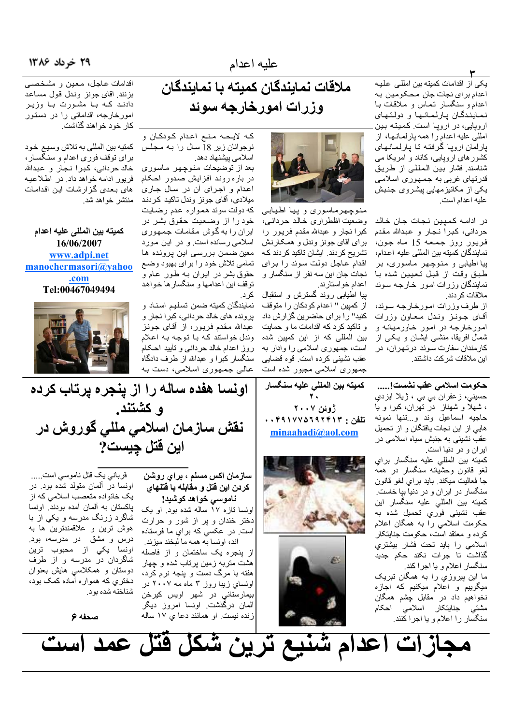#### ۲۹ خرداد ۱۳۸۶

یکی از اقدامات کمیته بین امللی علیه اعدام براي نجات جان محكومين به اعدام و سنگسار تماس و ملاقات بـا نمایندگان پارلمانها و دولتهای اروپایی، در اروپا است. کمیته بین امللي عليه اعدام را همه يارلمـانـهـا، از یار لمان ار و یا گر فتـه تـا یـار لـمـانـهـای کشور های ارویایی، کاناد و امریکا می

شناسند. فشار بين المللي از طريق قدرتهای غربی به جمهوری اسلامی یکی از مکانیزمهایی پیشروی جنبش عليه اعدام است.

٣

در ادامـه كمپين نـجـات جـان خـالـد حرداني، كبرا نجار و عبدالله مقدم فريور روز جمعه 15 ماه جون، نمايندگان كميته بين المللي عليه اعدام، پیا اطیابی و منوچهر ماسوری، بر طبق وقت از قبل تعيين شده با نمایندگان وزرات امور خارجه سوئد ملاقات كر دند.

از طرف وزرات امورخارجه سوئد، أقاى جونـز ونـدل مـعـاون وزرات امورخارجه در امور خاورميانه و شمال افریقا، منشـی ایشـان و یـکـی از كارمندان سفارت سوئد درتهران، در این ملاقات شرکت داشتند.

حكومت اسلامي عقب نشست!..... حسيني، زعفران بي بي ، ژيلا ايزدي ، شهلا و شهناز ً در تهران، کبرا و یا حاجيه اسماعيل وند وببتنها نمونه هایی از این نجات یافتگان و از تحمیل عقب نشینبی به جنبش سیاه اسلامبی در ایران و در دنیا است.

كميته بين المللي عليه سنگسار براي لغو قانون وحشیانه سنگسار در همه جا فعاليت ميكند<sub>.</sub> بايد براي لغو قانون سنگسار در ایران و در دنیا بیا خاست. كميته بين المللي عليه سنگسار اين عقب نشینی فوریِ تحمیل شده به حکومت اسلامی را به همگان اعلام كرده و معتقد است، حكومت جنايتكار اسلامی را باید تحت فشار بیشتری گذاشتؒ تا جرات نکند حکم جدید سنگسار اعلام و یا اجرا کند. ما این بیروزی را به همگان تبریک میگوییم و اعلام میکنیم که اجازه نخواهيم داد در مقابل چشم همگان

مشتّي ٔ جنايتکار اسلامي احکام<br>مشتّي ٔ جنايتکار اسلامي احکام

عليه اعدام

ملاقات نمايندگان كميته با نمايندگان وزرات امورخارجه سوئد

كـه لايـحـه مـنـع اعـدام كـودكـان و اسلامی بیشنهاد دهد.

بعد از توضیحات منوچهر ماسوری در باره روند افزایش صدور احکام اعدام و اجرای ان در سال جاری ميلادي، أقاي جونز وندل تاكيد كردند كه دولت سوئد همواره عدم رضايت خود را از وضعیت حقوق بشر در ایران را به گوش مقامات جمهوری اسلامی رسانده است و در این مورد معین ضمن بررسی این پرونده ها تمامي تلاش خود را براي بهبود وضع حقوق بشر در ایران بـه طـور عـام و توقف این اعدامها و سنگسار ها خواهد

نمایندگان کمیته ضمن تسلیم اسناد و برونده های خالد حردانی، کبرا نجار و عبدالله مقدم فريور، از أقاى جونز وندل خواستند کـه بـا تـوجـه بـه اعـلام روز اعدام خالد حردانـي و تأبيد احـكـام سنگسار کبرا و عبدالله از طرف دادگاه عالی جمهوری اسلامی، دست به

اقدامات عاجل، معين و مشخصبي بزنند. اقای جونز وندل قول مساعد دادند کـه بـا مشـورت بـا وزيـر امورخارجه، اقداماتی را در دستور کار خود خواهند گذاشت.

نوجوانان زير 18 سال را به مجلس كمتيه بين المللي به تلاش وسيع خود براي توقف فوري اعدام و سنگسار، خالد حرداني، كبرا نجار و عبدالله فريور ادامه خواهد داد. در اطلاعيه های بعدی گزارشات این اقدامات منتشر خواهد شد.

كميته بين المللي عليه اعدام 16/06/2007 www.adpi.net manochermasori@yahoo .com Tel:00467049494

اونسا هفده ساله را از پنجره پرتاب کرده

و کشتند.

نقش سازمان اسلامی مللی گوروش در

اين قتل چيست?

كميته بين المللي عليه سنگسار ۲. ژوئن ۲۰۰۷ تلفن : ۰۰۴۹۱۷۷۵٦۹۲۴۱۳ minaahadi@aol.com





سازمان اکس مسلم ، برای روشن كردن اين قتل و مقابله با قتلهاى

ناموسی خواهد کوشید! اونسا تازه ۱۷ ساله شده بود. او یک دختر خندان و پر از شور و حرارت است. در عکسي که براي ما فرستاده

اند، اونسا به همه ما لبخند ميزند. از بنجره یک ساختمان و از فاصله هشت متربه زمین برتاب شده و جهار هفته با مرگ دست و پنجه نرم کرد، اونساي زيبا روز ۳ ماه مه ۲۰۰۷ در بيمارستاني در شهر اويس كيرخن ألمان درگذشت اونسا امروز دیگر زنده نیست. او همانند دعا ی ۱۷ ساله

قربانی یک قتل ناموسی است..... اونسا در ألمان متولد شده بود. در یک خانواده متعصب اسلامی که از پاکستان به ألمان أمده بودند. اونسا شاگرد زرنگ مدرسه و یکی از با هوش ترین و علاقمندترین ها به درس و مشق در مدرسه، بود. اونسا يكي از محبوب ترين شاگردان در مدرسه و از طرف دوستان و همکلاسی هایش بعنوان دختری که همواره آماده کمک بود، شناخته شده بو د.

صحفه ۶





منوچهرماسوری و پیا اطیابی وضعيت اظطراري خالد حردانبي، كبرا نجار و عبدالله مقدم فريور را برای أقای جونز وندل و همکارنش تشر یح کر دند. ایشان تاکید کر دند کـه اقدام عاجل دولت سوئد را براى نجات جان این سه نفر از سنگسار و اعدام خواستارند.

پیا اطیابی روند گسترش و استقبال از كمپين " اعدام كودكان را متوقف کنید" را برای حاضرین گزارش داد و تاکید کرد که اقدامات ما و حمایت بین المللی که از این کمپین شده است، جمهوری اسلامی را وادار به عقب نشینی کرده است. قوه قضایی جمهوری اسلامی مجبور شده است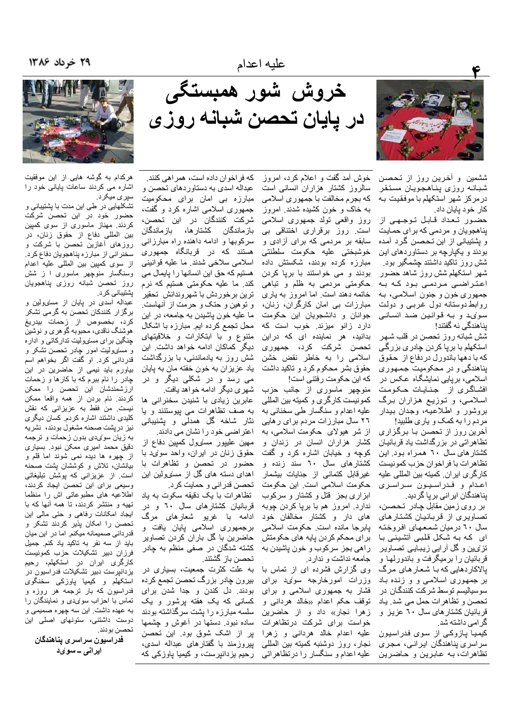

ششمین و أخرین روز از تحصن شبانه روزي پناهجويان مستقر درمركز شهر استكهلم با موفقيت بـه كار خود يايان داد.

حضور تعداد قابل توجهي از یناهجویان و مردمی که بر ای حمایت و پشتیبانی از این تـحصـن گـرد آمـده بودند و یکیارچه بر دستاوردهای این شش روز تاکید داشتند جشمگیر بود. شهر استكهلم شش روز شاهد حضور اعتراضی مردمی بود که به جمهوري خون و جنون اسلامي، بـه روابط دوستانه دول غربـی و دولت سوئ د و به قوانین ضد انسانی بناهندگی نه گفتند!

شش شبانه روز تحصن در قلب شهر استکھلم با برپا کردن چاد*ر ی* بزرگ*ی* كه با دهها باندورل دردفاع از حقوق بناهندگي و در محکوميت جمهوري اسلامی، بریایی نمایشگاه عکس در افشاگری از جنایات حکومت اسلامی، و توزیع هزاران برگ بروشور و اطلاعیه، وجدان بیدار مردم را به كمك و ياري طلبيد!

آخرین روز از تحصن با برگزار ی تظاهراتی در بزرگداشت یاد قربانیان کشتارهای سال ۲۰ همراه بود. این تظاهرات با فراخوان حزب كمونيست كارگرى ايران. كميته بين المللي عليه اعدام و فدراسیون سراسری یناهندگان ایر انی بر یا گر دید.

بر روي زمين مقابل چادر تحصن، تصاویری از قربانیان کشتارهای سال ٦٠ درميان شمعهاي افروخته ای که به شکل قلبی آتشینی با تزئيين و كُلّْ أرايي زيباييي تصـاوير قربانیان را برمیگرفت و باندورلها و بالاکاردهایی که با شعار های مرگ بر جمهوری اسلامی و و زنده باد سوسیالیسم توسط شرکت کنندگـان در تحصن و تظاهرات حمل مي شد. ياد قربانیان کشتارهای سال ۲۰ عزیز و گر امی داشته شد.

کیمیا پازوکی از سوی فدراسیون سراسری بناهندگان ایرانبی، مجری تظاهرات، به عابرین و حاضرین

خروش شور همبستگی در پایان تحصن شبانه روزی

خوش أمد گفت و اعلام کرد، امروز سالروز کشتار هزاران انسانی است كه بجرم مخالفت با جمهوري اسلامي به خاک و خون کشیده شدند. امروز روز واقعی تولد جمهوری اسلامی است. روز برقراری اختناقی بی سابقه بر مردمی که برای أزادی و خوشبختى عليه حكومت سلطنتى مبارزه کرده بودند، شکستش داده بودند و می خواستند با بریا کردن حکومتی مردمی به ظلم و تباهی

خاتمه دهند است. اما امروز به باری مبارزات بی امان کارگران، زنان، جوانان و دانشجويان اين حكومت دارد زانو ميزند. خوب است كه بدانید، هر نماینده ای که دراین تحصن شرکت کرد، جمهوری اسلامی را به خاطر نقض خشن حقوق بشر محکوم کرد و ناکید داشت كه اين حكومت ر فتني است!

منوچهر ماسوری از جانب حزب كمونيست كاركري وكميته بين المللي علیه اعدام و سنگسار طی سخنانی به ٢٦ سال مبارزات مردم برای رهایی از شر هیولای حکومت اسلامی، به كشار هزاران انسان در زندان و کوچه و خیابان اشاره کرد و گفت کشتارهای سال ۲۰ سند زنده و غیرقابل کتمانی از جنایات بیشمار حکومت اسلامی است. این حکومت ابزاری بجز قتل و کشتار و سرکوب ندارد. امروز هم با برپا كردن چوبه های دار و کشتار مخالفان خود يابرجا مانده است حكومت اسلامى برای محکم کردن یایه های حکومتش راهي بجز سركوب و خون پاشيدن به جامعه نداشت و ندارد.

وی گزارش فشرده ای از تماس با وزرات امورخارجه سوئ دبرای فشار به جمهوری اسلامی و برای توقف حکم اعدام «خالد هردان*ی* و زهرا نجار» داد و از حاضرين خواست برای شرکت درتظاهرات عليه اعدام خالد هرداني و زهرا نجار، روز دوشنبه كميته بين المللي علیه اعدام و سنگسار را در تظاهراتی

كه فراخوان داده است، همر اهي كنند. عبداله اسدي به دستاوردهاي تحصن و مبارزہ بی امان برای محکومیت جمهوری اسلامی اشاره کرد و گفت، شركت كنندگان در اين تحصن، باز ماندگان كشتار ها، باز ماندگان سرکوبها و ادامه داهنده راه مبارزانی هستند که در قربانگاه ج*م*هوری اسلامی سلاخی شدند. ما علیه قوانینی هستیم که حق این انسانها را پایمال می کند. ما علیه حکومتی هستیم که نرم ترين برخوردش با شهروندانش تحقير و توهین و حتک و حرمت از أنهاست. ما علیه خون پاشیدن به جامعه، در این محل تجمع كرده ايم. مبارزه با اشكال متنوع و با ابتكارات و خلاقيتهاى دیگر کماکان ادامه خواهد داشت. این شش روز به یادماندنبی، با بزرگداشت ياد عزيزان به خون خفته مان به پايان می رسد و در شکلی دیگر و در

شهري ديگر ادامه خواهد يافت. عابرین زیادی با شنیدن سخنرانی ها به صف تظاهرات می پیوستنند و یا نثار شاخه گل همدلی و پشنیبانی اعتراضی خود را نشان می دادند. مهين عليپور مسئىول كمپين دفاع از حقوق زنان در ایران، واحد سوئ دبا حضور در تحصن و تظاهرات با اهدای دسته های گل از مسئیولین این تحصن قدراني و حمايت كرد.

تظاهرات با یک دقیقه سکوت به یاد قربانیان کشتارهای سال ۲۰ و در ادامه با غریو شعارها*ی* مرگ برجمهوری اسلامی پایان یافت و حاضرین با گل باران کردن تصاویر کشته شدگان در صفی منظم به چادر تحصن باز گشتند.

به علت کثرت جمعیت، بسیاری در بیرون چادر بزرگ تحصن تجمع کرده بودند. دل كندن و جدا شدن براي کسانی که یک هفته برشور و یک سلسه مبارزه را پشت سرگذاشته بودند ساده نبود<sub>.</sub> دستها در أغوش و چشمها پر از اشک شوق بود<sub>.</sub> این تحصن بیروزمند با گفتارهای عبداله اسدی، رحیم بزدانپرست، و کیمیا یاوزکی که



هرکدام به گوشه هایی از این موفقیت اشاره می کردند ساعات بابانی خود را سپري ميکرد.

تشکلهایی در طی این مدت با یشتیبانی و حضور خود در این تحصن شرکت کردند. مهناز ماسوری از سوی کمپین بين المللي دفاع از حقوق زنان، در روزهای أغازیں تحصن با شرکت و سخنراني از مبارزه پناهجويان دفاع كرد. از سوى كمپين بين المللي عليه اعدام وسنگسار منوچهر ماسوری ا ز شش روز تحصن شبانه روزى بناهجويان بشتیبانی کر د.

عبداله اسدی در بابان از مسئیولین و بر گز ار کنندکان تحصن به گر می تشکر كرد، بخصوص از زحمات بيدريغ هوشنگ ناقدی، محبوبه گو هری و نوشین چنگین برای مسئیولیت ندارکاتی و اداره و مسئىوليت امور چادر نحصن نشكر و قدردانی کرد. او گفت اگر بخواهم اسم بیاورم باید نیمی از حاضرین در این چادر را نام ببرم که با کارها و زحمات ارزشمندشان این تحصن را ممکن كردند. نام بردن از همه واقعا ممكن نیست. من فقط به عزیزانی که نقش کلیدی داشتند اشار ه کر دم کسان دیگر ی نيز دريشت صحنه مشغول بودند، نشريه به زیان سوئ دی بدون زحمات و ترجمه دقیق محمد امیری ممکن نبود. بسیاری از چهره ها دیده نمی شوند اما قلم و بیانشان، تلاش و کوششان پشت صحنه است. از عزیزانی که بوشش تبلیغاتی وسیعی برای این تحصن ایجاد کردند، اطلاعیه های مطبوعاتی اش را منظما تھیه و منتشر کردند، تا همه آنها که با ایجاد امکانات رفاهی و حتی مالی این تحصن را امکان بذیر کردند تشکر و قدر دانی صمیمانه میکنم. اما در این میان باید از سه نفر به تاکید یاد کنم. جمیل فرزان دبیر تشکیلات حزب کمونیست کارگری ایران در استکهلم، رحیم بز دانیر ست دبیر تشکیلات فدر اسیون در استکھلم و کیمیا یاوزکی سخنگ*وی* فدراسیون که بار ترجمه هر روزه و تماس با احزاب سوئىدى و نمايندگان را به عهده داشت. این سه چهره صمیمی و دوست داشتنی، ستونهای اصلی این تحصن بو دند.

فدراسيون سراسرى پناهندگان ایران*ی ــ سویْ*د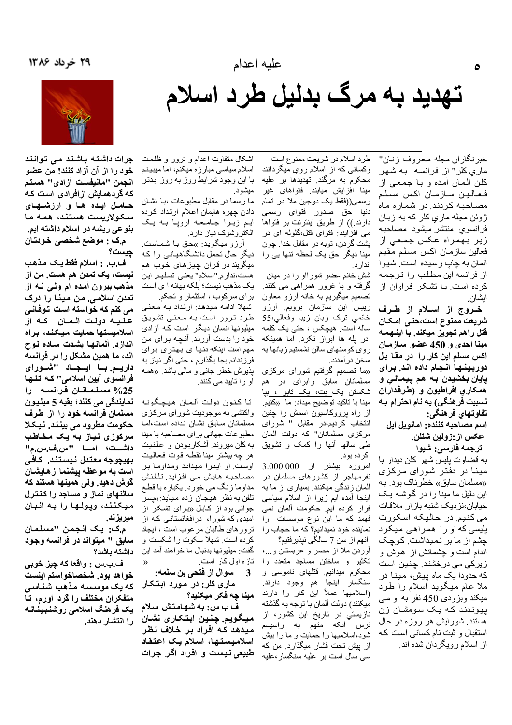# تهدید به مرگ بدلیل طرد اسلام

خبرنگاران مجله معروف زنـان" ماری کلر" از فرانسه به شهر كلن ألممان أمده و بـا جمعـى از فعالين سازمان اكس مسلم مصاحبه کر دند. در شمار ه ماه ژوئن مجله ما*ري* کلر که به زبـان فرانسوي منتشر ميشود مصاحبه زير بهمراه عكس جمعي از فعالين سازمان اكس مسلم مقيم آلمان به چاپ رسیده است. شیوا از فرانسه این مطلب را ترجمه کرده است با تشکر فراوان از ايشان

خىروج از اسىلام از طىرف شريعت ممنوع است،حتى امكـان قتل راهم تجویز میکند. با اینـهمـه مينا احدى و 450 عضو سـازمـان اکس مسلم این کار را در مقا بل دوربينها انجام داده اند. برای پايان بخشيدن بـه هم پيمـانـي و همكاري افراطيون و (طرفداران نسبيت فرهنگي) به نام احترام بـه تفاوتهاي فرهنگى:

اسم مصاحبه كننده: امانويل ايل عكس از :زولين شتلن.

ترجمه فارسي: شيوا به قضاوت پلیس شهر کلن دیدار با مینا در دفتر شورای مرکزی «مسلمان سابق» خطرناک بود. بـه این دلیل ما مینا را در گوشه یک خیابان،نز دیک شنبه باز ار ملاقات می کنیم. در حالیکه اسکورت یلیسی که او را همراهی میکرد چشم از ما بر نمیداشت. کوچک اندام است و چشمانش از ًهوش و زیرکی می درخشند. چنین است که حدودا یک ماه پیش، مینـا در ملا عام میگوید اسلام را طرد میکند ویزودی 450 نفر به او مبی پیوندند که یک سومشان زن هستند. شورایش هر روزه در حال استقبال و ثبت نام كساني است كه از اسلام رویگردان شده اند.

طرد اسلام در شریعت ممنوع است وکسانی که از اسلام روي ميگردانند محکوم به مرگند. تهدیدها بر علیه مینا افزایش میابند. فتواهای غیر رسمی((فقط یک دوجین ملا در تمام دنیا حق صدور فتوای رسمی دارند.)) از طریق اینترنت بر فتواها می افزایند: فتوای قتل،گلوله ای در يشت گر دن، توبه در مقابل خدا. چون ندار د.

شش خانم عضو شورااو را در میان گرفته و با غرور همراهی می کنند. تصمیم میگیریم به خانه أرزو معاون رییس این سازمان برویم آرزو خانمی ترک زبان زیبا وفعالی،55 ساله است. هیچکس ، حتی یک کلمه در پله ها ابراز نکرد. اما همینکه روى كوسنهاى سالن نشستيم زبانها به سخن در آمدند.

«ما تصمیم گرفتیم شورای مرکزی مسلمانان سابق رابرای در هم شکستن یک بت، یک تابو ، بیا مينا با تاكيد توضيح ميداد: ما «كنيم. از راه پرووکاسیون اسمش را چنین انتخاب كرديم،در مقابل " شوراى مرکزی مسلمانان" که دولت ألمان طی سالها أنها را کمک و تشویق كرده بود.

امروزه بیشتر از 3.000.000 نفرمهاجر از کشورهای مسلمان در آلمان زندگی میکنند. بسیار ی از ما به اینجا أمده ایم زیرا از اسلام سیاسی فرار كرده ايم. حكومت ألمان نمي فهمد که ما این نوع موسسات را نماینده خود نمیدانیم؟ که ما حجاب را آنهم از سن 7 سالگي نپذيرفتيم؟

أوردن ملا از مصر و عربستان و…، تکثیر و ساختن مساجد متعدد را محکوم میدانیم. قتلهای ناموسی و سنگسار اینجا هم وجود دارند. (اسلامیها عملأ این كار را دارند میکنند) دو لت آلمان با تو جه به گذشته نازیستي در تاريخ اين كشور، از ترس آنکه متهم به راسیسم شود،اسلامیها را حمایت و ما را بیش از بیش تحت فشار میگذارد. من که سی سال است بر علیه سنگسار،علیه

اشکال متفاوت اعدام و ترور و ظلمت اسلام سیاسی مبارزه میکنم، اما میبینم با این وجود شرایط روز به روز بدتر میشو د.

ما رسما در مقابل مطبوعات ،بـا نشـان دادن چهره هایمان اعلام ارتداد کرده ایم زیرا جامعه اروپا به یک الكتروشوك نياز دارد.

آرزو میگوید: »حق با شماست. مینا دیگر حق یک لحظه تنها یی را دیگر حال تحمل دانشگاهیانی را که میگویند در قران چیز *ه*ای خوب هم هست،ندارم ِ"اسلام" يعني تسليم ِ اين یک مذهب نیست؛ بلکه بهانه ا ی است برای سرکوب ، استثمار و تحکم.

شهلا ادامه میدهد: ارتداد به معنی طرد ترور است به معنى تشويق میلیونها انسان دیگر است که آزادی خود را بدست آورند. آنچه برای من مهم است اینکه دنیا ی بهتری برای فرزندانم بجا بگذارم ، حتى اگر نياز به پذیرش خطر جانبی و مالبی باشد<sub>. «</sub>همـه او را تایید می کنند.

تا كنون دولت ألمان هيچگونه واکنشی به موجودیت شورای مرکزی مسلمانان سابق نشان نداده است،اما مطبوعات جهاني براي مصاحبه با مينا به کلن میروند<sub>.</sub> أشکاربودن و علنیت هر چه بیشتر مینا نقطـه قوت فـعـالـیت اوست. او اینرا میداند ومداوما بر مصاحبه هایش می افزاید. تلفنش مداوما زنگ می خورد. یکباره با قطع تلفن به نظر هیجان زده میاید:»پسر جوانبی بود از کابل «برای تشکر از امیدی که شورا، درافغانستانسی که از ترور های طالبان مرعوب است ، ایجاد كرده است. شهلا سكوت را شكست و گفت: ميليونها بدنبال ما خواهند آمد اين تازه اول کار است.

3 \_ سوال از فتحي بن سلمه: ماری کلر: در مورد ابتکار مينا چه فكر ميكنيد؟

ف ب س: به شهامتش سلام ميگويم. چنين ابتكاري نشان میدهد که افراد بر خلاف نظر اسلامیستها، اسلام یک اعتقاد طبیعی نیست و افراد اگر جرات

جرات داشته باشند می توانند خود را از آن آزاد کنند! من عضو انجمن "مانيفست آزادي" هستم که گردهمایش ازافرادی است که حامل ایده ها و ارزشیهای سكولاريست هستند، همه ما بنوعی ریشه در اسلام داشته ایم. م.ک : موضع شخصی خودتان جيست؟

ف.ب. : اسلام فقط يک مذهب نيست، يک تمدن هم هست. من از مذهب بیرون امده ام ولمی نـه از تمدن اسلامی. من مینا را درک م*ی* کنم که خواسته است توفان*ی* عليه دولت آلمان که از اسلاميستها حمايت ميكند، براه اندازد. آلمانها بشدت ساده لـوح اند، ما همین مشکل را در فرانسه داریے با ایجاد "شورای فرانسوی آیین اسلامی'' کـه تـنــهـا 25% مسلمانان فرانسه را نمايندگي مي کنند؛ بقيه 5 ميليون مسلمان فرانسه خود را از طرف حکومت مطرود می بینند. نیکلا سرکوزی نیاز به یک مخاطب داشت، امسا "س.ف.س.م" بهيچوجه معتدل نيستند. كافي است به موعظه پیشنما زهایشان گوش دهید. ولی همینها هستند که سالنهای نماز و مساجد را کنترل میکنند، وپولها را به انبان میریزند.

َ م.ڪ: يک انجمن "مسلمان سابق " میتواند در فرانسه وجود داشته باشد؟

ف.ب.س : واقعا كه چيز خوبي خواهد بود. شخصاخواستم اينست که یک موسسه مذهب شناسی متفكران مختلف را گرد آورم، تـا یک فرهنگ اسلامی روشنبینـانـه را انتشار دهند.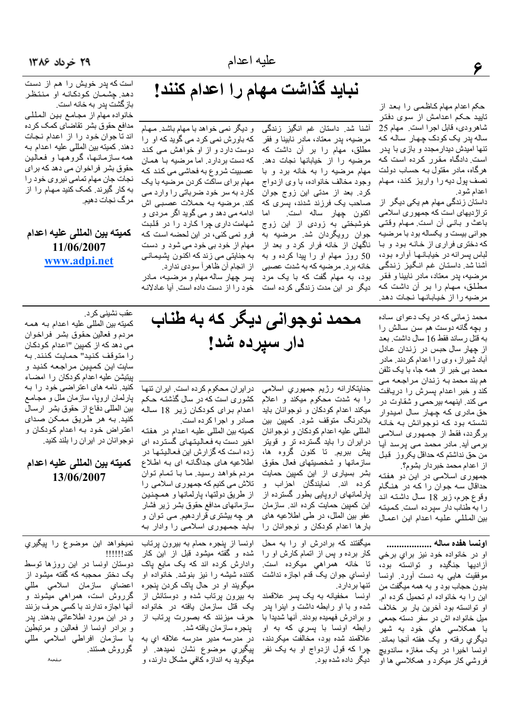نبايد گذاشت مهام را اعدام كنند!

است كه پدر خويش را هم از دست دهد. چشمان کودکانه او منتظر بازگشت پدر به خانه است.

خانواده مهام از مجامع بين المللي مدافع حقوق بشر تقاضاي كمك كرده اند تا جوان خود را از اعدام نجات دهند. كميته بين المللي عليه اعدام بـه همه سازمانها، گروهها و فعالین حقوق بشر فراخوان می دهد که برای نجات جان مهام تمامی نیروی خود را به کار گیرند. کمک کنید مهام را از مر گ نجات دھیے۔

كميته بين المللي عليه اعدام 11/06/2007 www.adpi.net

> محمد زمانی که در یک دعوای ساده و بچه گانه دوست هم سن سالش را به قتل رساند فقط 16 سال داشت. بعد از چهار سال حبس در زندان عادل آباد شیر از ، وی را اعدام کردند. مادر محمد بی خبر از همه جا، با یک تلفن هم بند محمد بـه زندان مراجعـه مـي كند و خبر اعدام پسرش را دريافت می کند. اینهمه بیرحمی و شقاوت در حق مادری که چهار سال امیدوار نشسته بود که نوجوانش به خانـه برگردد، فقط از جمهوری اسلامی برمی اید. مادر محمد می پرسد ایا من حق نداشتم كه حداقل يكروز قبل از اعدام محمد خبر دار بشوم؟.

جمهوری اسلامی در این دو هفته حداقال سه جوان را که در هنگام وقوع جرم، زیر 18 سال داشته اند را به طناب دار سپرده است. کمیته بين المللي عليه اعدام اين اعمال

اونسا هفده ساله .................. او در خانواده خود نيز براي برخي أزاديها جنگيده و توانسته بود، موفقیت هایی به دست أورد. اونسا بدون حجاب بود و به همه میگفت من این را به خانواده ام تحمیل کرده ام. او توانسته بود أخرين بار بر خلاف ميل خانواده اش در سفر دسته جمعي با همکلاسی هاي خود به شهر دیگری رفته و یک هفته أنجا بماند<sub>.</sub> اونسا اخیرا در یک مغازه ساندویچ فروشي کار ميکرد و همکلاسي ها او

جنايتكارانه رژيم جمهوري اسلامي را به شدت محکوم میکند و اعلام میکند اعدام کودکان و نوجوانان باید بلادرنگ متوقف شود. کمپین بین المللي عليه اعدام كودكان و نوجوانان درایران را باید گسترده تر و قویتر پیش ببریم. تا کنون گروه ها، سازمانها و شخصیتهای فعال حقوق بشر بسیاری از این کمپین حمایت كرده اند. نمايندگان احزاب و بارلمانهای اروپایی بطور گسترده از این کمپین حمایت کرده اند. سازمان عفو بين الملل، در طي اطلاعيه هاي بارها اعدام كودكان و نوجوانان را

میگفتند که بر ادر ش او را به محل کار برده و پس از اتمام کارش او را تا خانه همراهي ميکرده است. اونساي جوان يک قدم اجازه نداشت تنها بر دار د.

اونسا مخفیانه به یک پسر علاقمند شده و با او رابطه داشت و اینرا پدر و برادرش فهمیده بودند. آنها شدیدا با رابطه اونسا با پسري که به او علاقمند شده بود، مخالفت میکردند، چرا که قول ازدواج او به یک نفر دیگر داده شده بود.

در ایران محکوم کرده است. ایران تنها کشوری است که در سال گذشته حکم اعدام برای کودکان زیر 18 ساله صادر و اجرا کرده است.

اخیر دست به فعالیتهای گسترده ای زده است كه گزارش اين فعاليتها در اطلاعیه های جداگانه ای به اطلاع مردم خواهد رسید. ما با تمام توان تلاش می کنیم که جمهوری اسلامی را از طريق دولتها، بارلمانها و همچنين سازمانهای مدافع حقوق بشر زیر فشار هر چه بیشتری قراردهیم می توان و بـایـد جـمـهوری اسـلامـی را وادار بـه

كميته بين المللي عليه اعدام در هفته

عقب نشینی کر د. كميته بين المللي عليه اعدام به همه مردم و فعالین حقوق بشر فراخوان می دهد که از کمپین "اعدام کودکـان

را متوقف كنيد" حمايت كنند. به سايت اين كميين مراجعه كنيد و بيتيشن عليه اعدام كودكان را امضاء كنيد. نامه هاى اعتراضى خود را به پارلمان اروپا، سازمان ملل و مجامع بين المللي دفاع از حقوق بشر ارسال کنید. به هر طریق ممکن صدای اعتراض خود به اعدام كودكان و نوجوانان در ایران را بلند کنید.

#### كميته بين المللي عليه اعدام 13/06/2007

نمیخواهد این موضوع را پیگیری

دوستان اونسا در این روزها توسط

یک دختر محجبه که گفته میشود از

اعضاي سازمان اسلامي مللي

گرروش است، همراهی میشوند و

آنها اجازه ندارند با کسی حرف بزنند

و در اين مورد اطلاعاتي بدهند. پدر

و برادر اونسا از فعالین و مرتبطین

با سازمان افراطي اسلامي مللي

صفحه

كند!!!!!!!

گوروش هستند.

اونسا از ینجره حمام به بیرون برتاب شده و گفته میشود قبل از این کار وادارش کرده اند که یک مایع یاک کننده شیشه را نیز بنوشد خانواده او میگویند او در حال یاک کردن ینجره به بیرون پرتاب شده و دوستانش از یک قتل سازمان یافته در خانواده حرف میزنند که بصورت پرتاب از ينجر ه ساز مان يافته شد.

در مدرسه مدیر مدرسه علاقه ای به پيگير*ي* موضوع نشان نميدهد<sub>.</sub> او میگوید به اندازه کافی مشکل دارند، و

دار سپرده شد!

محمد نوجوانی دیگر که به طناب

و دیگر نمی خواهد با مهام باشد. مـهـام آشنا شد. داستان غم انگیز زندگی مرضيه، پدر معتاد، مادر نابينا و فقر مطلق، مهام را بر أن داشت كه مرضیه را از خیابانها نجات دهد. مهام مرضیه را به خانه برد و با وجود مخالف خانواده، با وی ازدواج كرد. بعد از مدتى اين زوج جوان صاحب یک فرزند شدند، پسری که اكنون چهار ساله است. اما خوشبختی به زودی از این زوج جوان رویگردان شد. مرضیه به ناگهان از خانه فرار كرد و بعد از 50 روز مهام او را پیدا کرده و به خانه برد. مرضیه که به شدت عصبی بود، به مهام گفت که با یک مرد دیگر در این مدت زندگی کرده است

که باور ش نمی کر د می گوید که او را دوست دارد و از او خواهش می کند که دست بر دار د. اما مرضیه بـا همـان عصبیت شروع به فحاشی می کند که مهام برای ساکت کردن مرضیه با یک کارد به سر خود ضرباتی را وارد می كند. مرضيه بـه حملات عصبـي اش ادامه مي دهد و مي گويد اگر مردي و شهامت داری چرا کارد را در قلبت فرو نمي كني، در اين لحضه است كه مهام از خود بي خود مي شود و دست به جنایتی می زند که اکنون پشیمانی از انجام أن ظاهراً سودي ندارد. پسر چهار ساله مهام و مرضیه، مادر خود را از دست داده است. آیا عادلانـه

حكم اعدام مهام كاظمى را بعد از تایید حکم اعدامش از سوی دفتر شاهرودي، قابل اجرا است. مهام 25 ساله پدر یک کودک چهار سالـه کـه تنها امیدش دیدار مجدد و بازی با یدر است. دادگـاه مـقرر کرده است کـه هرگاه، مادر مقتول بـه حسـاب دولـت نصف پول دیه را واریز کند، مهام اعدام شود.

داستان زندگی مهام هم یکی دیگر از تراژدیهای است که جمهوری اسلامی باعث و بانسي أن است ٍ مـهـام وقتـي جواني بيست و يكساله بود با مرضيه كه دختري فراري از خانـه بود و بـا لباس يسرانه در خيابانها أواره بود، آشنا شد. داستان غم انگیز زندگی مرضيه، پدر معتاد، مادر نابينا و فقر مطلق، مهام را بر آن داشت که مرضيه را از خيابانها نجات دهد.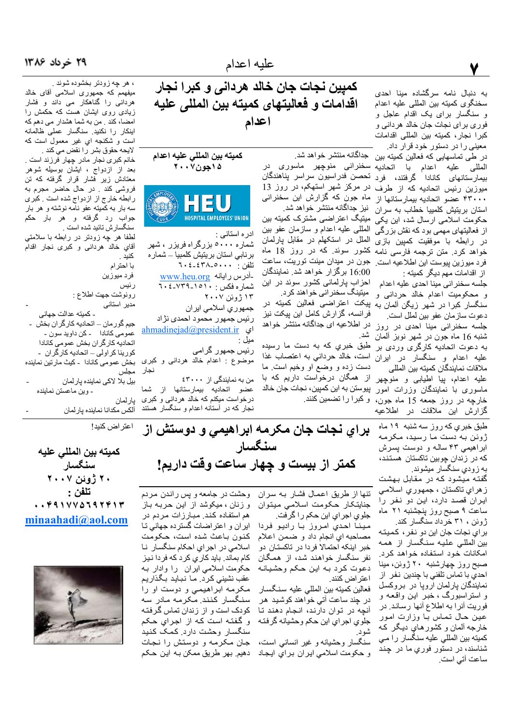به دنبال نامه سرگشاده مینا احدی سخنگوی کمیته بین المللی علیه اعدام و سنگسار برای یک اقدام عاجل و فوري براي نجات جان خالد هرداني و كبرا نجار، كميته بين المللي اقدامات معینی را در دستور خود قرار داد.

در طی تماسهایی که فعالین کمیته بین جداگانه منتشر خواهد شد. المللی علیه اعدام با اتحادیه سخنرانی منوچهر ماسوری در<br>بیمارستانهای کانادا گرفتند، فرد تحصن فدراسیون سراسر پناهندگان میوزین رئیس اتحادیه که از طرف ۴۳۰۰۰ عضو اتحادیه بیمارستانها از استان بریتیش کلمپیا خطاب به سران حکومت اسلامی ارسال شد، این یکی از فعالیتهای مهمی بود که نقش بز رگی در رابطه با موفقیت کمیین بازی خواهد كرد. متن ترجمه فارسى نامه فر د ميو زين پيوست اين اطلاعيه است. از اقدامات مهم دیگر کمیته :

جلسه سخنراني مينا احدى عليه اعدام و محکومیت اعدام خالد حردانبی و سنگسار کبرا در شهر زیگن ألمان به دعو ت ساز مان عفو بين لملل است. جلسه سخنرانی مینا احدی در روز شنبه 16 ماه جون در شهر نوبز ألمان به دعوت اتحادیه کارگری وردی بر علیه اعدام و سنگسار در ایران ملاقات نمايندگان كميته بين المللي عليه اعدام، پيا اطيابي و منوچهر ماسوری با نمایندگان وزرات امور خارچه در روز جمعه 15 ماه جون، و کبرا را تضمین کنند.

گزارش این ملاقات در اطلاعیه

كمبين نجات جان خالد هرداني و كبرا نجار اقدامات و فعاليتهاى كميته بين المللى عليه اعدام

كميته بين المللي عليه اعدام ۱۵ جون۷۰۰۷



ادره استاني : شماره ۵۰۰۰ بزرگراه فریزر ، شهر برنابی استان بریتیش کلمبیا ـــ شمار ه -آدرس رايانه www.heu.org شماره فکس : ۱۵۱۰ـ۷۳۹ـ،۲۰ ۱۳ ژوئن ۲۰۰۷ جمهوري اسلامي ايران رئيس جمهور محمود احمدي نژاد ahmadinejad@president.ir ای مىل :

رئیس جمهور گرامی موضوع : اعدام خالد هردانی و کبری بخش عمومی کانادا ـ کیث مارتین نماینده نجار

> من به نمایندگی از ٤٣٠٠٠ عضو اتحاديه بيمارستانها از شما در خواست میکنم که خالد هردانی و کبری نجار که در آستانه اعدام و سنگسار هستند

میفهمم که جمهوری اسلامی آقای خالد<br>هردانی را گناهکار می داند و فشار<br>زیادی روی ایشان هست که حکمش را امضا، كند . من به شما هشدار مى دهم كه اینکار را نکنید. سنگسار عملی ظالمانه است و شکنجه اي غیر معمول است که لايحه حقوق بشر را نقض مي كند . خانم كبرى نجار مادر چهار فرزند است . بعد از ازدواج ، ایشان بوسیله شوهر

، هر چه زودتر بخشوده شوند <sub>.</sub>

معتادش زیر فشار قرار گرفته که تن فروشی کند . در حال حاضر مجرم به رابطه خارج از ازدواج شده است <sub>.</sub> کبری سه بار به کمیته عفو نامه نوشته و هر بار جواب رد گرفته و هر بار حکم سنگسارش تائيد شده است .

لطفا هر چه زودتر در رابطه با سلامتي أقاي خالد هردانى و كبرى نجار اقدام كنيد .

> با احتر ام فرد ميوزين رئيس

رونوشت جهت اطلاع :

اعتر اض كنيد!

مدیر استانی ۔ كمبته عدالت جهاني جیم گو ر مان – اتحادیه کار گر ان بخش -عمومی کانادا ـ کن داوید سون -اتحاديه كاركران بخش عمومي كانادا کورینا کراولی - اتحادیه کارگران -

مجلس بیل بلا لاکی نماینده یارلمان - وين ماعستن نماينده

بارلمان ألكس مكدانا نماينده يارلمان

> براي نجات جان مكرمه ابراهيمي و دوستش از طبق خبري كه روز سه شنبه ۱۹ ماه ژوئن به دست ما رسید، مکرمه ابراهیمی ۴۳ ساله و دوست بسرش كه در زندان چوبين تاكستان هستند، به زودي سنگسار ميشوند. گفته میشود که در مقابل بهشت ز هراي تاكستان ، جمهوري اسلامي ایران قصد دارد، این دو نفر را ساعت ۹ صبح روز پنجشنبه ۲۱ ماه ژوئن ، ۳۱ خرداد سنگسار کند. براي نجات جان اين دو نفر ، كميته بین المللی علیه سنگسار از همه امكانات خود استفاده خواهد كرد. صبح روز چهارشنبه ۲۰ ژوئن، مینا

احدي با تماس تلفني با چندين نفر از نمایندگان پارلمان اروپا در بروکسل و استراسبورگ **، خ**بر این واقعه و فوريت أنرا به اطلاع أنها رساند. در عین حال تماس با وزارت امور خارجه ألمان و كشور هاي ديگر كه كميته بين المللي عليه سنگسار را مي شناسند، در دستور ف*وری م*ا در چند ساعت آتی است.

سنگسار كمتر از بيست و چهار ساعت وقت داريم!

> تنها از طریق اعمال فشار به سران جنايتكار حكومت اسلامى ميتوان جلوي اجراي اين حكم را گرفت.

تحصن فدراسيون سراسر يناهندگان

در مرکز شهر استهکم، در روز 13

ماه جون که گزارش این سخنرانی

میتیگ اعتراضی مشترک کمیته بین

المللبي عليه اعدام و سازمان عفو بين

الملل در استكهلم در مقابل پارلمان

کشور سوئد<sub>.</sub> که در روز 18 ماه

جون در میدان مینت توریت، ساعت

16:00 برگزار خواهد شد. نمایندگان

احزاب پارلمانی کشور سوئد در این

بِیکت اعتراضی فعالین کمیته در

فرانسه، گزارش كامل اين پيكت نيز

در اطلاعیه ای جداگانه منتشر خواهد

طبق خبري كه به دست ما رسيده

است، خالد حردانی به اعتصاب غذا

دست زده و وضع او وخیم است. ما

از همگان درخواست داریم که با

پيوستن به اين كمپين، نجات جان خالد

میتینگ سخنر انی خواهند کرد.

نيز جداگانه منتشر خواهد شد.

مينا احدي امروز با راديو فردا مصاحبه اي انجام داد و ضمن اعلام خبر اینکه احتمالا فردا در تاکستان دو نفر سنگسار خواهند شد، از همگان دعوت كرد به اين حكم وحشيانه اعتر اض كنند<sub>.</sub>

فعالين كميته بين المللي عليه سنكسار در چند ساعت آتی خواهند کوشید هر آنچه در توان دارند، انجام دهند تا جلوي اجراي اين حكم وحشيانه گرفته

سنگسار وحشيانه و غير انساني است، و حكومت اسلامي ايران براي ايجاد

وحشت در جامعه و پس راندن مردم و زنان ، میکوشد از این حربـه بـاز هم استفاده كند. مبارزات مردم در ایران و اعتراضات گسترده جهانی تا كنون باعث شده است، حكومت اسلامي در اجراي احكام سنگسار نا کام بماند. باید کاری کرد که فردا نیز حكومت اسلامي ايران را وادار بـه عقب نشینی کرد. مـا نبـاید بـگذاریم مکرمه ابراهیمی و دوست او را سنگسار كنند مكرمه مادر سه کو دک است و از زندان تماس گرفته و گفته است که از اجرای حکم سنگسار وحشت دارد کمک کنید جان مکرمه و دوستش را نجات دهيم. بهر طريق ممكن بـه اين حكم

كميته بين المللى عليه سنگسار ۲۰ ژوئن ۲۰۰۷ تلفن : .. 491 Y V & J 9 7 4 1 4 minaahadi@aol.com

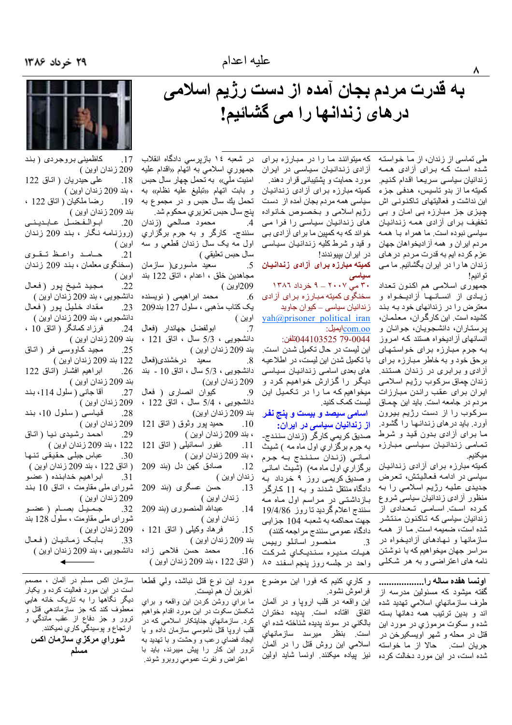به قدرت مردم بجان آمده از دست رژیم اسلامی<br>در های زندانها را می گشائیم!

طی تماسی از زندان، از ما خواسته شده است کـه بـرای آزادی همـه زندانيان سياسي سريعا اقدام كنيم. كميته ما از بدو تاسيس، هدفي جزء این نداشت و فعالیتهای تـاکـنـونـی اش چیزی جز مبارزه بی امان و بی تخفیف برای آزادی همه زندانیان سیاسی نبوده است. ما همراه با همه مردم اير ان و همه آز اديخو اهان جهان عزم كرده ايم به قدرت مردم در هاي زندان ها را در ایران بگشائیم. ما می تو انيم!

جمهوري اسلامي هم اكنون تعداد زیبادی از انسانها آزادیخواه و معترض را در زندانهای خود به بند كشيده است. اين كارگر ان، معلمان، يرستاران، دانشجويان، جوانان و انسانهای أزادیخواه هستند کـه امروز به جرم مبارزه برای خواستهای برحق خود و به خاطر مبارزه براي آزادی و برابری در زندان هستند. زندان چماق سركوب رژيم اسلامي ایران برای عقب راندن مبارزات مر دم در جامعه است. باید این چماق سرکوب را از دست رژیم بیرون أورد. باید در *های ز*ندانـهـا را گشـود. ما برای أزادی بدون قید و شرط تمامی زندانیان سیاسی مبارزه ميكنيم.

کمیته مبارزه برای آزادی زندانیان سياسي در ادامـه فـعـاليتش، تـعرض جدیدی علیه رژیم اسلامی را به منظور أزادي زندانيان سياسي شروع كرده است. اسامى تعدادى از زندانیان سیاسی که تاکنون منتشر شده است، ضمیمه است. مـا از همـه سازمانها و نـهـادهـای أزادیـخـواه در سراسر جهان میخواهیم که با نوشتن نامه های اعتراضی و به هر شکلی

اونسا هفده ساله را................. گفته میشود که مسئولین مدرسه از طرف سازمانهای اسلامی تهدید شده اند و بدین ترتیب همه دهانها بسته شده و سکوت مرموزي در مورد اين قتل در محله و شهر اویسکیرخن در جريان است. حالا از ما خواسته شده است، در این مورد دخالت کرده

که میتوانند ما را در مبارزه برای آزادی زندانیان سیاسی در ایران مورد حمایت و پشتیبانی قرار دهند. کمیته مبارزه برای ازادی زندانیان سیاسی همه مردم بجان آمده از دست رژیم اسلامی و بخصوص خانواده های زندانیان سیاسی را فرا می خواند که به کمپین ما بر ای آزادی بی و قید و شرط کلیه زندانیان سیاسی در ايران بييوندند!

**کمیته مبارزه برای آزادی زندانیان 5.**  $Y \wedge T$  می $Y \wedge T = 1$  خرداد ۱۳۸۶

سخنگوی کمیته مبار زه بر ای آزادی زندانیان سیاسی ــ کیوان جاوید  $yah(\omega)$ prisoner political iran com.oo<sup>ا</sup>يميل:

#### 0044103525 79-0044)تلفن:

این لیست در حال تکمیل شدن است. با تکمیل شدن این لیست، در اطلاعیه های بعدی اسامی زندانیان سیاسی دیگر را گزارش خواهیم کرد و میخواهیم که ما را در تکمیل این لیست کمک کنید.

#### اسام*ی* سیصد و بیست و پنج نفر از زندانیان سیاسی در ایران:

صدیق کریمی کارگر (زندان سنندج۔ به جرم برگزاري اول ماه مه ) شيث امانی (زندان سنندج به جرم برگزاری اول ماه مه) (شیث امـانـی و صدیق کریمی روز ۹ خرداد به دادگاه منتقل شدند و بـه 11 كـارگر بازداشتی در مراسم اول ماه مه سنندج اعلام گردید تا روز 19/4/86 جهت محاكمه به شعبه 104 جزايي دادگاه عمومي سنندج مراجعه كنند)

منصور اسانلو رييس  $\cdot$ 3 هیات مدیره سندیکای شرکت واحد در جلسه روز پنجم اسفند ٨٥

و كاري كنيم كه فورا اين موضوع فراموش نشود.

این واقعه در قلب اروپا و در ألمان اتفاق افتاده است. يديده دختران بالكني در سوئد پديده شناخته شده اي است. بنظر میرسد سازمانهاي اسلامی این روش قتل را در ألمان نیز بیاده میکنند. اونسا شاید اولین

در شعبه ۱۶ بازپرسی دادگاه انقلاب جمهوري اسلامي به اتهام «اقدام عليه امنیت ملی» به تحمل چهار سال حبس و بابت اتهام «تبليغ عليه نظام» به تحمل يك سال حبس و در مجموع به پنج سال حبس تعزيري محكوم شد. محمود صالحي (زندان  $\mathcal{A}$ سنندج۔ کارگر و به جرم برگزاری اول مه يک سال زندان قطعي و سه سال حبس تعليقي ) سعید ماسوری( سازمان مجاهدين خلق ، اعدام ، اتاق 122 بند 209اوين ) محمد ابراهیمی ( نویسنده .6 یک کتاب مذهبی ، سلول 127 بند209 اوين ) ابولفضل جهاندار (فعال .7 دانشجويى ، 5/3 سال ، اتاق 121 ، بند 209 زندان اوين ) سعيد درخشندي(فعال  $.8\,$ دانشجويبي ، 5/3 سال ، اتاق 10 - بند 209 زندان اوين) كيوان انصارى ( فعال .9 دانشجويي ، 5/4 سال ، اتاق 122 ، بند 209 زندان اوين) حميد پور وثوق ( اتاق 121  $.10$ ، بند 209 زندان اوين ) غفور اسمائيلي ( اتاق 121  $.11$ ، بند 209 زندان اوين ) صادق كهن دل (بند 209  $.12$ زندان اوين ) حسن عسگری (بند 209 .13 ز ندان اوين ) عبدالله المنصورى (بند 209 .14 زندان اوين )

فرهاد وكيلبي ( اناق 121 ، .15 بند 209 زندان اوين ) محمد حسن فلاحی زاده  $.16$ ( اتاق 122 ، بند 209 زندان اوين )

مورد این نوع قتل نباشد، ولی قطعا اخرين ان هم نيست.

ما براي روشن كردن اين واقعه و براي شکستن سکوت در این مورد اقدام خواهیم کرد. سازمانهای جنایتکار اسلامی که در قلب ارویا قتل ناموسی سازمان داده و با ایجاد فضای رعب و وحشت و با تهدید به ترور این کار را بیش میبرند، باید با اعتراض و نفرت عمومی روبرو شوند.

كاظميني بروجردي (بند  $.17$ 209 زندان اوين ) على حيدريان (اتاق 122  $.18$ ، بند 209 زندان اوين ) رضا ملكيان ( اتاق 122 ، .19 بند 209 زندان اوين ) اب والفضل عابديني  $.20$ (روزنامه نگار ، بند 209 زندان اوين ) حامد واعظ تقوى  $.21$ (سخنگوي معلمان ، بند 209 زندان اوين ) مجيد شيخ پور (فعال  $.22$ دانشجويي ، بند 209 زندان اوين ) مقداد خليل پور (فعال  $.23$ دانشجویی ، بند 209 زندان اوین ) فرزاد كمانگر ( اتاق 10 ،  $.24$ بند 209 زندان اوين ) مجید کـاووسـی فـر ( اتـاق  $.25$ 122 بند 209 زندان اوين )  $.26$ ابراهيم افشىار (اتـاق 122 بند 209 زندان اوين ) آقا جاني ( سلول 114، بند  $.27$ 209 زندان اوين) قیاسی (سلول 10، بند .28 209 زندان اوين ) احمد رشیدی نیا ( اتاق .29 122 ، بند 209 زندان اوين ) عباس جبلى حقيقى تنها .30 ( اتاق 122 ، بند 209 زندان اوين ) ابراهيم خدابنده ( عضو .31 شورای ملی مقاومت ، اتاق 10 بند 209 زندان اوين ) جميل بصام (عضو .32 شورای ملی مقاومت ، سلول 128 بند 209 زندان اوين ) بـابـک زمـانـیـان (فـعـال .33 دانشجويي ، بند 209 زندان اوين )

سازمان اكس مسلم در آلمان ، مصمم است در این مورد فعالیت کرده و یکبار دیگر نگاهها را به تاریک خانه هایی معطوف كند كه جز سازماندهي قتل و ترور و جز دفاع از عقب ماندگي و ار تجاع و پوسیدگی کا*ر ي* نميکنند. شوراي مركزي سازمان اكس مسلم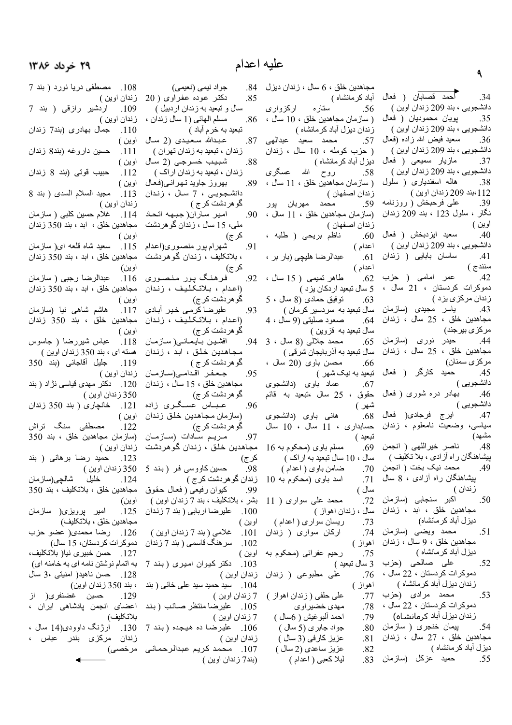# ۲۹ خرداد ۱۳۸۶

| عليه اعدام                             |                                                                   |                                   |
|----------------------------------------|-------------------------------------------------------------------|-----------------------------------|
| جواد نيمي (نعيمي)<br>.84               | مجاهدین خلق ، 6 سال ، زندان دیزل                                  |                                   |
| دکتر عوده عفراوی ( 20<br>.85           |                                                                   | .34                               |
| سال و تبعید به زندان اردبیل )          | گحمد قصابان ( فعال أبادكرمانشاه)<br>بی،بند209زندان۱وین)  56.      | دانشجويي ، بند 209 زندان اوين )   |
| مسلم المهائي (1 سال زندان ،<br>.86     | ( سازمان مجاهدين خلق ، 10 سال ،                                   | پويان محموديان ( فعال<br>.35      |
| تبعيد به خر م أباد )                   | زندان دیزل آباد کرمانشاه )                                        | دانشجويي ، بند 209 زندان اوين )   |
| عبدالله سعیدی (2 سال<br>.87            | 57. محمد سعيد عبدالهي                                             | سعيد فيض الله زاده (فعال<br>.36   |
| زندان ، تبعید به زندان تهران )         | ( حزب كومله ، 10 سال ، زندان                                      | دانشجویی ، بند 209 زندان اوین )   |
| شبيب خسرجي (2 سال<br>.88               | دیزل آباد کرمانشاه )                                              | مازیار سمیعی ( فعال<br>.37        |
| زندان ، تبعید به زندان اراک )          | 58. روح الله عسگری                                                | دانشجويي ، بند 209 زندان اوين )   |
|                                        |                                                                   | هاله اسفندیاری ( سلول<br>.38      |
| بهروز جاويد تهراني(فعال<br>.89         | ( سازمان مجاهدين خلق ، 11 سال ،                                   | 112،بند 209 زندان اوين )          |
| دانشجويـي ، 7 سـال ، زنـدان            | زندان اصفهان )                                                    | على فرحبخش ( روزنامه<br>.39       |
| گو هر دشت کر ج )                       | 59. محمد مهربان پور                                               | نگار ، سلول 123 ، بند 209 زندان   |
| 90. امير ساران(جبهه اتحاد              | (سازمان مجاهدين خلق ، 11 سال ،                                    |                                   |
| ملي، 15 سال ، زندان گوهردشت            | زندان اصفهان )                                                    | اوين )                            |
| ک <i>ر</i> ج)                          | 60. ناظم بريحي ( طلبه ،                                           | سعيد ايزدبخش ( فعال<br>.40        |
| 91.        شهرام پور منصوري(اعدام      | اعدام )                                                           | دانشجویی ، بند 209 زندان اوین )   |
| ، بلاتکلیف ، زندان گوهردشت             | 61. عبدالرضا هليچي (بار بر ،                                      | 41. ساسان بابایی ( زندان          |
| ک <i>ر</i> ج)                          | اعدام )                                                           | سنندج )                           |
| 92. فرهنگ پور منصوری                   | طاهر تميمي ( 15 سال ،<br>.62                                      | 42. عمر امامی (حزب                |
| (اعدام ، بلاتكليف ، زندان              | 5 سال تبعيد ار دكان يز د )                                        | دموكرات كردستان ، 21 سال ،        |
| گو هر دشت کر ج)                        | توفيق حمادى (8 سال ، 5<br>.63                                     | زندان مرکزی یزد )                 |
| 93.         عليرضا كرمى خير  آبادى     | سال تبعید به سردسیر کرمان )                                       |                                   |
| (اعدام ، بلاتكليف ، زندان              | صعود صليتي (9 سال ، 4<br>.64                                      | مجاهدين خلق ، 25 سال ، زندان      |
| گو هر دشت کر ج)                        | سال تبعید به قزوین )                                              | مرکز <i>ی</i> بیرجند)             |
| 94.       افشين بـايـمـانـي( سـاز مـان | محمد جلالی (8 سال ، 3<br>.65                                      | 44. حيدر نورى (سازمان             |
| مجاهدين خلق ، ابد ، زندان              | سال تبعید به آذربایجان شرقی )                                     | مجاهدين خلق ، 25 سال ، زندان      |
| گو هردشت کر ج )                        | محسن باوی (20 سال ،<br>.66                                        | مركزى سمنان)                      |
| 95. حعفر اقدامى(سازمان                 |                                                                   |                                   |
| مجاهدين خلق ، 15 سال ، زندان           |                                                                   |                                   |
| گو هردشت کر ج)                         |                                                                   |                                   |
| 96. عباس عسـگرى زادە                   | دانشجویی)<br>47.     ایرج فرجادی( فعال 68.     هانی باوی (دانشجوی |                                   |
| (سازمان مجاهدين خلق زندان              |                                                                   |                                   |
| گو هر دشت کر ج)                        | سياسي، وضعيت نامعلوم ، زندان حسابداري ، 11 سال ، 10 سال           |                                   |
| 97. مريم سادات ِ (سازمان               | تبعبد )                                                           | مشهد)                             |
| مجاهدین خلق ، زندان گوهردشت            | مسلم باوي (محکوم به 16<br>.69                                     | ناصر خيراللهي ( انجمن<br>.48      |
| کر <i>ج</i> )                          | سال ، 10 سال تبعید به اراک )                                      | پیشاهنگان راه آزادی ، بلا تکلیف ) |
| حسین کاووسی فر (بند 5<br>.98           | ضامن باوي ( اعدام )                                               | محمد نيک بخت ( انجمن ۔70<br>.49   |
| زندان گو هردشت کر ج )                  | اسد باوی (محکوم به 10<br>.71                                      | بِیشاهنگان راه أزادی ، 8 سال      |
| 99. كيوان رفيعي ( فعال حقوق            | سال )                                                             | زندان )                           |
| بشر ، بلاتکلیف ، بند 7 زندان اوین )    | محمد على سوارى ( 11<br>.72                                        | اکبر سنجابی (سازمان<br>.50        |
| علیر ضا اربابی ( بند 7 زندان<br>.100   | سال ، زندان اهواز )                                               | مجاهدین خلق ، ابد ، زندان         |
| اوين )                                 | 73.        ريسان سواري ( اعدام )                                  | دیزل آباد کر مانشاه)              |
| 101. غلامي (بند 7 زندان اوين )         | ارکان سواری ( زندان<br>.74                                        | 51. محمد ويضىي (سازمان            |
| سر هنگ قاسمی ( بند 7 زندان<br>.102     | اهواز )                                                           | مجاهدين خلق ، 9 سال ، زندان       |
| اوين )                                 | رحيم عفرائي (محكوم به<br>.75                                      | دیزل أباد کرمانشاه )              |
| 103. دکتر کیوان امیری (بند 7           | 3 سال تبعيد )                                                     | 52. على صالحى (حزب                |
|                                        | علی مطبوعی ( زندان زندان اوین )<br>.76                            | دموكرات كردستان ، 22 سال ،        |
| 104. مسید حمید سید علی خانی ( بند      | اهواز )                                                           | زندان دیزل آباد کر مانشاه )       |
|                                        | على حلفي ( زندان اهواز )     7 زندان اوين )<br>.77                | 53. محمد مرادى (حزب               |
| 105. عليرضا منتظر صائب (بند            | .78<br>مهدي خضبر او ي                                             | دموكرات كردستان ، 22 سال ،        |
| 7 زندان اوين )                         | احمد ألبوغيش ( 6سال )<br>.79                                      | زندان دیزل آباد کرمانشـاه)        |
| 106. عليرضا ده هيجده (بند 7            | جواد جابري (5 سال )<br>.80                                        | 54.        پيمان خنجرى (  سازمان  |
| زندان اوين )                           | عزیز کارفی (3 سال )<br>.81                                        | مجاهدين خلق ، 27 سال ، زندان      |
| 107. محمد كريم عبدالرحماني             | عزيز ساعدي (2 سال )<br>.82                                        | دیزل آباد کرمانشاه )              |
| (بند7 زندان اوين )                     | لیلا کعبی ( اعدام )<br>.83                                        | 55. حميد عزكل (سازمان             |
|                                        |                                                                   |                                   |

| مصطفی دریا نورد ( بند 7<br>زندان اوين )                                            | 20                       |
|------------------------------------------------------------------------------------|--------------------------|
| .<br>اردشیر رازقی ( بند 7<br>.109                                                  | (                        |
| زندان اوين )                                                                       | ان ،                     |
| .ب<br>جمال بهادری (بند7 زندان<br>.110                                              |                          |
|                                                                                    |                          |
| اوين )                                                                             | سال                      |
| <mark>حسین داروغه (بند8 زندان</mark><br>.111                                       | $\overline{(}$           |
| اوين )                                                                             | سال                      |
| <mark>حبيب قوتي (بند 8 زندان</mark><br>.112                                        | - (                      |
| اوين )                                                                             | هال                      |
| مجيد السلام السدى ( بند 8<br>.113                                                  | ـدان                     |
| زندان اوين )                                                                       |                          |
|                                                                                    | حاد                      |
| رےس ریں .<br>114.    غلام حسین کلبی ( سازمان<br>مجاهدین خلق ،  ابد ، بند 350 زندان |                          |
|                                                                                    | شت                       |
| اوين )                                                                             |                          |
|                                                                                    | عدام                     |
| .ویی )<br>115.    سعید شاه قلعه ای( سازمان<br>مجاهدین خلق ، ابد ، بند 350 زندان    | ئىت                      |
| اوين)                                                                              |                          |
|                                                                                    | ری                       |
|                                                                                    |                          |
|                                                                                    | ⊾ان                      |
| اوين )                                                                             |                          |
| هاشم شاهی نیا (سازمان<br>.117                                                      | بادي                     |
| مجاهدين خلقٰ ، بند 350 زندان                                                       | ⊥ان                      |
| اوين )                                                                             |                          |
| عباس شیررضا ( جاسوس<br>.118                                                        | مان                      |
| هسته ای ، بند 350 زندان اوین )                                                     | ⊥ان                      |
| جليل أقاجاني (بند 350<br>.119                                                      |                          |
|                                                                                    | سان                      |
| زندان اوين )                                                                       |                          |
| دکتر مهدی قیاسی نژاد ( بند<br>.120                                                 | دان                      |
| 350 زندان اوين )                                                                   |                          |
| خانچاری ( بند 350 زندان<br>.121                                                    | زاده                     |
| اوين )                                                                             | ⊥ان                      |
| مصطفی سنگ تراش<br>.122                                                             |                          |
|                                                                                    |                          |
|                                                                                    |                          |
| (سازمان مجاهدین خلق ، بند 350                                                      | سان                      |
| زندان اوين )                                                                       | ئىت                      |
| حمید رضا برهانی ( بند<br>.123                                                      |                          |
| 350 زندان اوين )                                                                   | $5^{\circ}$              |
| خليل شالچي(سازمان<br>.124                                                          |                          |
| مجاهدين خلق ، بلاتكليف ، بند 350                                                   | نوق                      |
| اوين)                                                                              | $\overline{\mathcal{L}}$ |
|                                                                                    | دان                      |
| ۔<br>125 <sub>.</sub> امیر پرویزی( سازمان                                          |                          |
| مجاهدين خلق ، بلاتكليف)                                                            |                          |
| 126. رضا محمدي( عضو حزب                                                            | $\overline{(\cdot)}$     |
| دموكرات كردستان، 15 سال)                                                           | ندان                     |
| 127. حسن خبيرى نيا( بلاتكليف،                                                      |                          |
| به اتمام نوشتن نامه اي به خامنه اي)                                                | د 7                      |
| 128. حسن ناهيد( امنيتي 3، سال                                                      |                          |
| ، بند 350 زندان اوين)                                                              | ِ بند                    |
|                                                                                    |                          |
| 129. حسين غضنفري( از<br>اعضای انجمن پادشاهی ایران ،                                | بند                      |
|                                                                                    |                          |
|                                                                                    |                          |
| بلاتکلیف)<br>130. ارژنگ داوودی(14 سال ،                                            | د 7                      |
| زندا <i>ن</i> مرکز <i>ی</i> بندر عباس ،<br>مرخصى)                                  | لمنسى                    |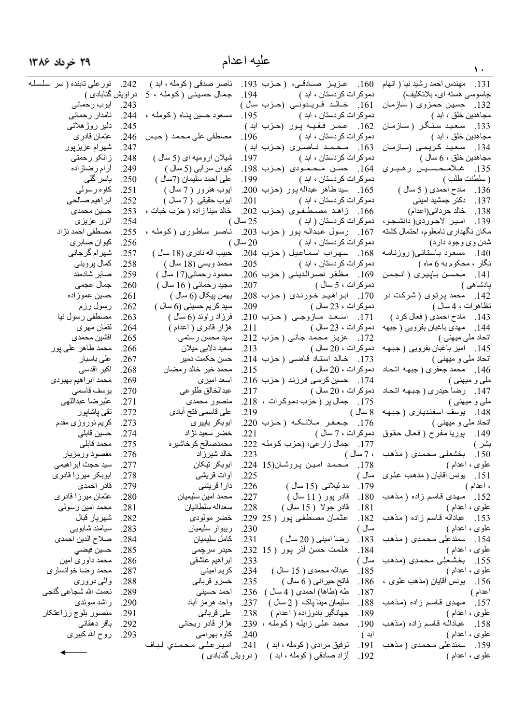| ۲۹ خرداد ۱۳۸۶                    |              |                                        | عليه اعدام |                                                           |                                                        |
|----------------------------------|--------------|----------------------------------------|------------|-----------------------------------------------------------|--------------------------------------------------------|
|                                  |              |                                        |            |                                                           |                                                        |
| نورعلى تابنده ( سر سلسلـه        | .242         | ناصر صدقی ( کومله ، ابد )              |            | 160. عزیز صادقی، (حزب 193.                                | 131. مهندس احمد رشيد نيا ( اتهام                       |
| در اویش گنابادی )<br>ايوب رحماني | .243         | جمال حسینی (کومله ، 5                  | .194       | دموکر ات کر دستان ، ابد )                                 | جاسوسی هسته ای، بلاتکلیف)                              |
| نامدار رحماني                    | .244         | مسعود حسین پناه (کومله ،               | .195       | 161. خالد فریدونے (حزب سال)<br>دموكر ات كر دستان ، ابد )  | 132. حسين حمزوى (سازمان<br>مجاهدين خلق ، ابد )         |
| دلیر روژهلاتی                    | .245         |                                        |            | 162. عمر فقیه پور (حزب ابد)                               | 133. سعید سنگر (سازمان                                 |
| عثمان قادر ي                     | .246         | مصطفى على محمد ( حبس                   | .196       | دموكر ات كردستان ، ابد )                                  | مجاهدين خلق ، ابد )                                    |
| شهرام عزيزپور                    | .247         |                                        |            | 163. محمد ناصری (حزب ابد)                                 | 134. سعيد كريمي (سازمان                                |
| زانکو رحمتی                      | .248         | شیلان ارومیه ای (5 سال )               | .197       | دموكر ات كر دستان ، ابد )                                 | مجاهدين خلق ، 6 سال )                                  |
| أرام رضازاده                     | .249         | كيوان سرابي (5 سال )                   |            | 164. حسن محمودی (حزب 198.                                 | 135. غلامحسين رهبري                                    |
| یاسر گلی                         | .250         | على احمد سليمان (7سال )                | .199       | دموكر ات كر دستان ، ابد )                                 | ( سلطنت طلب )                                          |
| كاوه رسولي                       | .251         | ابوب هنرور ( 7 سال )                   |            | 165. سيد طاهر عبداله پور (حزب 200.                        | 136. مادح احمدی ( 5 سال )                              |
| ابراهيم صىالحى                   | .252         | ابوب حقيقى ( 7 سال )                   | .201       | دموكرات كردستان ، ابد )                                   | 137. دکتر جمشید امینی                                  |
| حسين محمدى                       | .253         | خالد مينا زاده ( حزب خبات ،            |            | 166. زاهد مصىطفوى (حزب 202.                               | 138. خالد حرداني(اعدام)                                |
| انور عزیزی                       | .254         |                                        | 25 سال)    | دموكرات كردستان ( ابد )                                   | 139. امير لاجوردي( دانشجو،                             |
| مصطفى احمد نژاد                  | .255         | ناصر ساطوری (کومله ،                   |            | 167. رسول عبداله پور (حزب 203.                            | مكان نگهداري نامعلوم، احتمال كشته                      |
| كيوان صابري                      | .256         |                                        | 20 سال)    | دموكرات كردستان ، ابد )                                   | شدن وي وجود دارد)                                      |
| شهر ام گرجان <i>ی</i>            | .257         | حبيب اله نادر ي (18 سال )              |            | 168. سهراب اسماعيل (حزب 204.                              | 140. مسعود باستانس(روزنامه                             |
| كمال پرويني                      | .258         | محمد ويسى (18 سال )                    | .205       | دمو کر ات کر دستان ، ابد )                                | نگار ، محکوم به 6 ماه )                                |
| صابر شادمند                      | .259         | محمود رحماني(17 سال )                  |            | 169. مظفر نصرالديني ( حزب 206.                            | 141. محسن باييري ( انجمن                               |
| جمال عجمى                        | .260         | مجيد رحماني ( 16 سال )                 | .207       | دموكرات ، 5 سال )                                         | پادشاهی )                                              |
| حسين عموزاده                     | .261         | بهمن پيکال (6 سال )                    |            | 170. ابراهيم خورندي (حزب 208.                             | 142. محمد پرتوی ( شرکت در                              |
| رسول رزم                         | .262         | سید کریم حسینی (6 سال )                | .209       | دموكرات ، 23 سال )                                        | تظاهرات ، 4 سال )                                      |
| مصطفى رسول نيا                   | .263         | فرزاد راوند (6 سال )                   |            | 171. اسعد مازوجی (حزب 210.                                | 143. مادح احمدي ( فعال كرد )                           |
| لقمان مهر ي<br>افشين محمدى       | .264<br>.265 | هژار قادری ( اعدام )<br>سيد محسن رستمي | .211       | دموكرات ، 23 سال )<br>172. عزيز محمد جاني ( حزب 212.      | 144. مهدى باغبان بفرويي ( جبهه                         |
| محمد طاهر على پور                | .266         | سعيد دلايي ميلان                       | .213       | دموكرات ، 20 سال )                                        | اتحاد ملی میہنی )<br>145. امير باغبان بفرويي (جبهه     |
| على باسبار                       | .267         | حسن حكمت دمير                          |            | 173. خالد استاد قاضى (حزب 214.                            | اتحاد ملي و ميهني )                                    |
| اکبر اقدسی                       | .268         | محمد خير خالد رمضان                    | .215       | دموكرات ، 20 سال )                                        | 146. محمد جعفري ( جبهه اتحاد                           |
| محمد ابر اهيم بهبودي             | .269         | اسعد امیر ی                            |            | 174. حسين كرمي فرزند ( حزب 216.                           | ملي و ميهني )                                          |
| يوسف قاسمى                       | .270         | عبدالخالق طلوعي                        | .217       |                                                           | 147.   رضا حيدري ( جبـهـه اتـحـاد   دموكرات ، 20 سال ) |
| عليرضا عبداللهي                  | .271         | منصور محمدي                            |            | 175. جمال پر (حزب دموكرات ، 218.                          | ملي و ميهني )                                          |
| تقى پاشاپور                      | .272         | على قاسمي فتح أبادي                    | .219       | 8 سال )                                                   | 148. يوسف اسفندياري (جبهه                              |
| كريم نوروزي مقدم                 | .273         | ابوبكر باييرى                          |            | 176. جعفر ملائكه (حزب 220.                                | اتحاد ملي و ميهني )                                    |
| حسين قابلي                       | .274         | خضر سعيد نژاد                          | .221       |                                                           | 149.  پوریا مفرح ( فعال حقوق  دموکرات ، 7 سال )        |
| محمد قابلى                       | .275         | محمدصالح كوخاشيره                      |            | جمال زارعي، (حزب كومله 222.<br>.177                       | بشر )                                                  |
| مقصود ورمزيار                    | .276         | خالد شيرزاد                            | .223       | ، 7 سال )                                                 | بخشعلی محمدی ( مذهب<br>.150                            |
| سید حجت ابر اهی <i>می</i>        | .277         | ابوبكر تيكان                           |            | محمد امين پروشان(15 224.<br>.178                          | علوی ، اعدام )                                         |
| ابوبکر میرزا قادر <i>ی</i>       | .278         | أوات قريشي                             | .225       | سال )                                                     | 151. يونس أقايان ( مذهب علوى                           |
| قادر احمدى                       | .279         | دار ا قریشی                            | .226       | مد ليلانس (15 سال )<br>.179                               | ، اعدام )                                              |
| عثمان میر ز ۱ قادر ی             | .280         | محمد امين سليميان<br>سعداله سلطانيان   | .227       | قادر پور ( 11 سال )<br>.180                               | مهدی قاسم زاده (مذهب<br>.152                           |
| محمد امين رسولي<br>شهريار قبال   | .281<br>.282 | خضر مولودي                             | .228       | قادر جولا ( 15 سال )<br>.181<br>عثمان مصطفى بور ( 25 229. | علوی ، اعدام )                                         |
| سيامند شابويي                    | .283         | ريبوار سليميان                         | .230       | .182<br>سال )                                             | عباداله قاسم زاده ( مذهب<br>.153<br>علوی ، اعدام )     |
| صلاح الدين احمدي                 | .284         | كامل سليميان                           | .231       | .183<br>رضا اميني ( 20 سال )                              | سمندعلِی محمدِی ( مذهب<br>.154                         |
| حسين فيضىي                       | .285         | حيدر سرچمي                             |            | هلمت حسن آذر پور ( 15 ـ232.<br>.184                       | علوى ، اعدام )                                         |
| محمد داور ي امين                 | .286         | ابراهیم عاشقی                          | .233       | سال )                                                     | بخشعلِی محمدِی (مذهب<br>.155                           |
| محمد رضا خوانساري                | .287         | كر يم اميني                            | .234       | .185<br>عبداله محمدی ( 15 سال )                           | علوى ، اعدام )                                         |
| والمي دروري                      | .288         | خسرو قرباني                            | .235       | فاتح حیرانی ( 6 سال )<br>.186                             | 156.    يونس أقايان (مذهب علوى ،                       |
| نعمت الله شجاعي گنجي             | .289         | احمد حسينى                             | .236       | طه (طاها) احمدي ( 4 سال )<br>.187                         | اعدام )                                                |
| راشد سوئدي                       | .290         | واحد هرمز أباد                         | .237       | سليمان مينا پاک ( 2 سال )<br>.188                         | مهدِي قاسم زاده (مذهب<br>.157                          |
| منصور بلوچ رزاعتكار              | .291         | على قرباني                             | .238       | جهانگیر بادوزاده ( اعدام )<br>.189                        | علوی ، اعدام )                                         |
| باقر دهقانی                      | .292         | هڑ ار قادر ریحانی                      | .239       | محمد علمي زايلـه (كوملـه ،<br>.190                        | عباداله قاسم زاده (مذهب<br>.158                        |
| روح الله كبيرى                   | .293         | كاو ہ بھر امى                          | .240       | ابد )                                                     | علوى ، اعدام )                                         |
|                                  |              | اميرعلى محمدي لباف                     | .241       | .191<br>توفيق مرادي (كومله ، ابد )                        | سمندعلی محمدی ( مذهب<br>.159                           |
|                                  |              | ( درویش گنابادی )                      |            | .192<br>از اد صادقی ( کومله ، ابد )                       | علوی ، اعدام )                                         |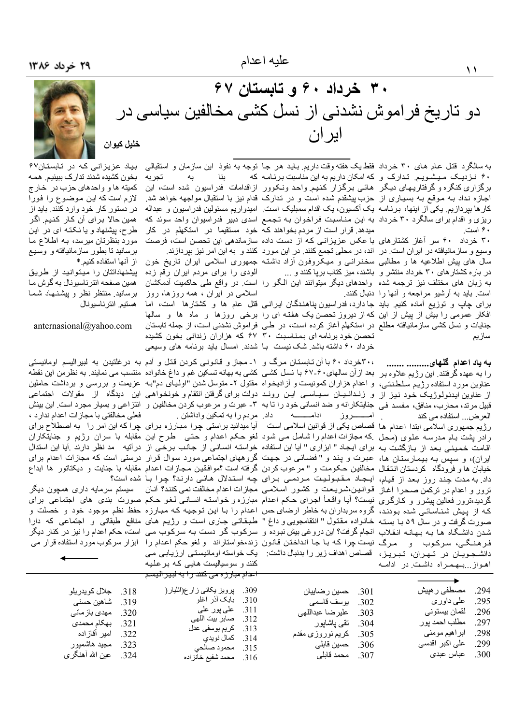# ۳۰ خرداد ۶۰ و تابستان ۶۷ دو تاریخ فراموش نشدنی از نسل کشی مخالفین سیاسی در ايران خليل كيوان

به سالگرد قتل عام های ۳۰ خرداد فقط یک هفته وقت داریم باید هر جا توجه به نفوذ این سازمان و استقبالی ۴۰ نـزدیـک مـیـشـویـم. تـدارک و که امکان داریم به این مناسبت برنـامـه که برگزاری کنگره و گرفتاریـهـای دیـگر هـائـی بـرگزار کـنـیـم واحـد ونـکوور ازاقدامات فدراسیون شده است، این اجازه نداد بـه مـوقـع بـه بسـیـاری از حزب پیشقدم شده است و در تـدارک قدام نیز با استقبال مواجهه خواهد شد. کار ها بپردازیم. یکی از اینها، برنـامـه یک آکسیون، یک اقدام سمبلیک است. امیدواریم مسئولین فدراسیون و عبداله ریزی و اقدام برای سالگرد ۳۰ خرداد به این مناسبت فراخوان به تجمع اسدی دبیر فدراسیوان واحد سوئد که ۴۰ است.

وسیع و سازمانیافته در ایران است در اند، در محلی تجمع کنند. در این مورد کنند و به این امر نیز بپردازند. سال های پیش اطلاعیه ها و مطالبی سخنرانسی و میکروفون أزاد داشته جمهوری اسلامی ابران تاریخ خون در باره کشتار های ۳۰ خرداد منتشر و باشند، میز کتاب بریا کنند و ... به زبان های مختلف نیز ترجمه شده واحدهای دیگر میتوانند این الگو را است در واقع طی حاکمیت آدمکشان است. باید به أرشیو مراجعه و أنها را دنبال کنند. برای چاپ و توزیع آماده کنیم. باید جا دارد، فدراسیون پناهندگان ایرانسی قتل عام ها و کشتارها است، اما افکار عمومی را بیش از پیش از این که از دیروز تحصن یک هفته ای را برخی روزها و ماه ها و سالها جنایات و نسل کشی سازمانیافته مطلع در استکهلم أغاز کرده است، در طبی فراموش نشدنی است، از جمله نابستان سازيم

العرض... استفاده مي كند

بنا میدهد. قرار است از مردم بخواهند که خود مستقیما در استکهلم در کار ۳۰ خرداد ۶۰ سر أغاز کشتارهای با عکس عزیزانی که از دست داده سازماندهی این تحصن است، فرصت

آلودی را برای مردم ایران رقم زده اسلامی در ایران ، همه روزها، روز تحصن خود برنامه ای بمناسبت ۳۰ ۶۷ که هزاران زندانی بخون کشیده خرداد ۶۰ داشته باشد شک نیست با شدند. امسال باید برنامه های وسیعی

تجربه



بیاد عزیز انے که در تابستان۶۷ بخون کشیده شدند تدارک ببینیم. همه کمیته ها و واحدهای حزب در خارج لازم است كه اين موضوع را فورا در دستور کار خود وارد کنند. باید از همين حالا براي أن كـار كنيم. اگر طرح، پیشنهاد و یا نـکـتـه ای در ایـن مورد بنظرتان میرسد، بـه اطـلاع مـا برسانید تا بطور سازمانیافته و وسیع از آنها استفاده كنيم.\*

بیشنهادانتان را میتوانید از طریق همین صفحه انتر ناسیونال به گوش ما برسانید. منتظر نظر و پیشنـهـاد شمـا هستیم انتر ناسیو نال

anternasional@vahoo.com

٬۳۰۰خرداد ۶۰ با آن تـابستـان مرگ و ۱ـ مجاز و قـانـونـی کردن قتـل و أدم به درغلتيدن به لبيراليسم اومانيستـی به یاد اعدام گلهای......... ....... را به عهده گرفتند. این رژیم علاوه بر بعد ازأن سالهای ۶۰-۶۷ با نسل کشی کشی به بهانه تسکین غم و داغ خانواده منتسب می نمایند. به نظرمن این نقطه عناوین مورد استفاده رژیم سلطنتی، و اعدام هزاران کمونیست و آزادیخواه مقتول ۲ـ متوسل شدن "اولیای دم"بـه عزیمت و بررسی و برداشت حاملین از عناوین ایدئولوژیک خود نیز از و زنـدانـیـان سـیـاسـی ایـن رونـد دولت برای گرفتن انتقام و خونخواهـی این دیدگاه از مقولات اجتماعی قبَيل مرتد، محارب، منافق، مفسد فـي جنايتكارانه و ضد انساني خود را تا به ٣- عبرت و مرعوب كردن مخالفين و انتزاعي و بسيار مجرد است اين بينش  $\overline{\phantom{a}}$ ادام ـــروز رژیم جمهوری اسلامی ابتدا اعدام ها قصاص یکی از قوانین اسلامی است آیا میدانید براستی چرا مبارزه برای چرا که این امر را به اصطلاح برای رادر پشت بـام مـدرسـه عـلـوی (مـحل کـه مـجازات اعدام را شـامل مـی شـود لـغو حـکم اعدام و حـتـی طـرح این مقابله با سران رژیم و جنایتکاران اقامت خمینی بعد از بازگشت به برای ایجاد " ابزاری " أیا این استفاده خواسته انسانی از جانب برخی از درأتیه مد نظر دارند أیا این استدال ایران)، و سپس بـه بیمـارستـان هـا، عبـرت و پنـد و " فضـائـي در جـهت گروههای اجتماعی مورد سوال قرار درستـی است که مجازات اعدام برای خیابان ها و فرودگاه کردستان انتقال مخالفین حکومت و " مرعوب کردن گرفته است ؟موافقین مجازات اعدام مقابله با جنایت و دیکتاتور ها ابداع داد. به مدت چند روز بعد از قیام، ایجاد مقبولیت مردمی برای چه استدلال هائی دارند؟ چرا با شده است؟ ترور و اعدام در ترکمن صحرا أغاز قوانین،شریعت و کشور اسلامی مجازات اعدام مخالفت نمی کنند؟ أنان – سیستم سرمایه داری همچون دیگر گردید،ترور فعالین بیشرو و کارگری نیست؟ آیا واقعأ اجرای حکم اعدام مبارزه و خواسته انسانی لغو حکم صورت بندی های اجتماعی برای که از پیش شناسائی شده بودند، گروه سربداران به خاطر ارضای حس اعدام را با این توجیه که مبارزه حفظ نظم موجود خود و خصلت و صورت گرفت و در سال ۵۹ با بسته خانواده مقتول " انتقامجویی و داغ " طبقاتی جاری است و رژیم های منافع طبقاتی و گجتماعی که دارا شدن دانشگاه هـا بـه بـهـانـه انـقـلاب انجام گرفت؟ این دروغی بیش نبوده و سرکوب گر دست بـه سرکوب مـی است، حکم اعدام را نیز در کنار دیگر فر هنگے، سرکوب و مرگ نیست چرا که با جا انداختن قانون زند،خواستاراند و لغو حکم اعدام را ابزار سرکوب مورد استفاده قرار می دانشجویان در تهران، تبریز، قصاص اهداف زیر را بدنبال داشت: یک خواسته اومانیستی ارزیابی می اهواز بهمراه داشت در ادامه

ـــه داد. مردم را به تمکین واداشتن .

کنند و سوسیالیست هایی که برعلیه

<del>اعدام مبارزه می کنند را به لبیر الیسم</del>

فعلی مخالفتی با مجازات اعدام ندارد ،

جلال کو پدر پلو

مهدي باز ماني

بهكام محمدى

319. شاهين حسني

.294 مصطفى ر هيش 301. حسين رضاييان يوسف قاسمي على داور ي .295 .302 عليرضا عبداللهي لقمان بيستوني .296 .303 مطلب احمد پور .297 تقى پاشاپور .304 ابراهیم مومنی .298 كريم نوروزي مقدم .305 .299 على اكبر اقدسي حسين قابلي .306 307. محمد قابلي عباس عبدى .300

309. پرویز یکانی زار ع(ائلیار( .310 بابک أذر اغلو على پور على .311 صابر بيت اللهء .312 كريم يوسفي عدل  $313$ كمال نويدي  $314$ محمود صالح .315 محمد شفيع خانزاده .316

امير أقازاده .322 مجيد هاشميور .323 عین الله أهنگر ی .324

.318

.320

.321